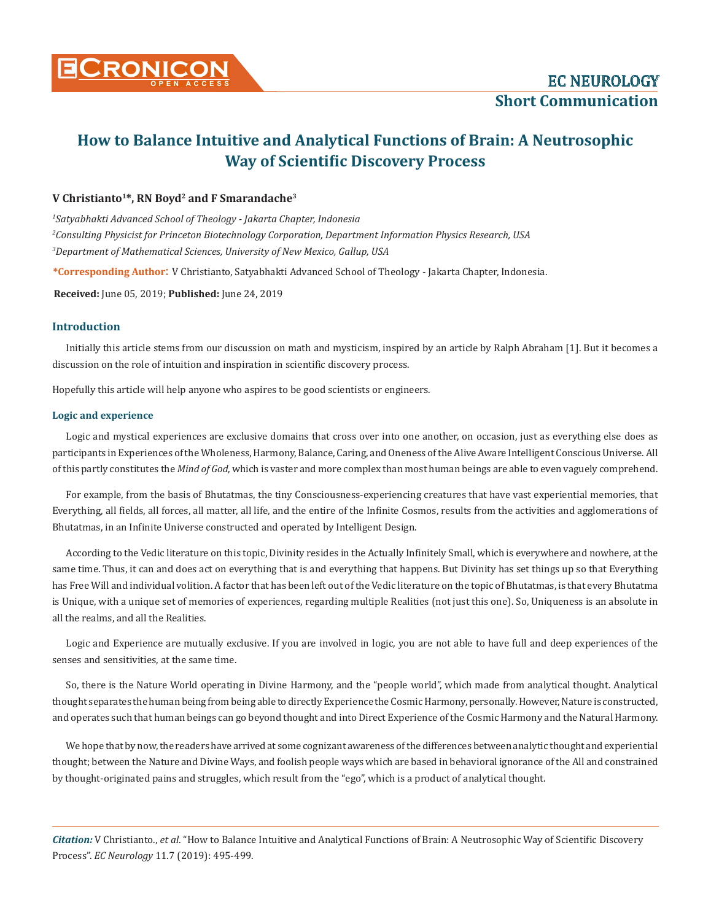

# **How to Balance Intuitive and Analytical Functions of Brain: A Neutrosophic Way of Scientific Discovery Process**

## **V Christianto1\*, RN Boyd2 and F Smarandache3**

*1 Satyabhakti Advanced School of Theology - Jakarta Chapter, Indonesia 2 Consulting Physicist for Princeton Biotechnology Corporation, Department Information Physics Research, USA 3 Department of Mathematical Sciences, University of New Mexico, Gallup, USA*

**\*Corresponding Author**: V Christianto, Satyabhakti Advanced School of Theology - Jakarta Chapter, Indonesia.

**Received:** June 05, 2019; **Published:** June 24, 2019

## **Introduction**

Initially this article stems from our discussion on math and mysticism, inspired by an article by Ralph Abraham [1]. But it becomes a discussion on the role of intuition and inspiration in scientific discovery process.

Hopefully this article will help anyone who aspires to be good scientists or engineers.

#### **Logic and experience**

Logic and mystical experiences are exclusive domains that cross over into one another, on occasion, just as everything else does as participants in Experiences of the Wholeness, Harmony, Balance, Caring, and Oneness of the Alive Aware Intelligent Conscious Universe. All of this partly constitutes the *Mind of God*, which is vaster and more complex than most human beings are able to even vaguely comprehend.

For example, from the basis of Bhutatmas, the tiny Consciousness-experiencing creatures that have vast experiential memories, that Everything, all fields, all forces, all matter, all life, and the entire of the Infinite Cosmos, results from the activities and agglomerations of Bhutatmas, in an Infinite Universe constructed and operated by Intelligent Design.

According to the Vedic literature on this topic, Divinity resides in the Actually Infinitely Small, which is everywhere and nowhere, at the same time. Thus, it can and does act on everything that is and everything that happens. But Divinity has set things up so that Everything has Free Will and individual volition. A factor that has been left out of the Vedic literature on the topic of Bhutatmas, is that every Bhutatma is Unique, with a unique set of memories of experiences, regarding multiple Realities (not just this one). So, Uniqueness is an absolute in all the realms, and all the Realities.

Logic and Experience are mutually exclusive. If you are involved in logic, you are not able to have full and deep experiences of the senses and sensitivities, at the same time.

So, there is the Nature World operating in Divine Harmony, and the "people world", which made from analytical thought. Analytical thought separates the human being from being able to directly Experience the Cosmic Harmony, personally. However, Nature is constructed, and operates such that human beings can go beyond thought and into Direct Experience of the Cosmic Harmony and the Natural Harmony.

We hope that by now, the readers have arrived at some cognizant awareness of the differences between analytic thought and experiential thought; between the Nature and Divine Ways, and foolish people ways which are based in behavioral ignorance of the All and constrained by thought-originated pains and struggles, which result from the "ego", which is a product of analytical thought.

*Citation:* V Christianto., *et al*. "How to Balance Intuitive and Analytical Functions of Brain: A Neutrosophic Way of Scientific Discovery Process". *EC Neurology* 11.7 (2019): 495-499.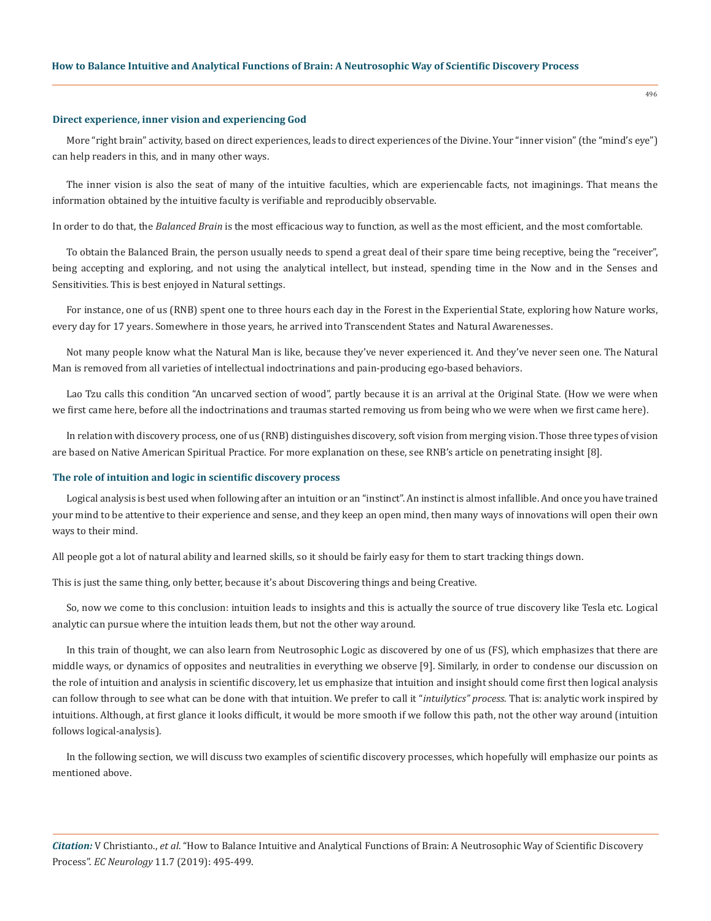#### **Direct experience, inner vision and experiencing God**

More "right brain" activity, based on direct experiences, leads to direct experiences of the Divine. Your "inner vision" (the "mind's eye") can help readers in this, and in many other ways.

The inner vision is also the seat of many of the intuitive faculties, which are experiencable facts, not imaginings. That means the information obtained by the intuitive faculty is verifiable and reproducibly observable.

In order to do that, the *Balanced Brain* is the most efficacious way to function, as well as the most efficient, and the most comfortable.

To obtain the Balanced Brain, the person usually needs to spend a great deal of their spare time being receptive, being the "receiver", being accepting and exploring, and not using the analytical intellect, but instead, spending time in the Now and in the Senses and Sensitivities. This is best enjoyed in Natural settings.

For instance, one of us (RNB) spent one to three hours each day in the Forest in the Experiential State, exploring how Nature works, every day for 17 years. Somewhere in those years, he arrived into Transcendent States and Natural Awarenesses.

Not many people know what the Natural Man is like, because they've never experienced it. And they've never seen one. The Natural Man is removed from all varieties of intellectual indoctrinations and pain-producing ego-based behaviors.

Lao Tzu calls this condition "An uncarved section of wood", partly because it is an arrival at the Original State. (How we were when we first came here, before all the indoctrinations and traumas started removing us from being who we were when we first came here).

In relation with discovery process, one of us (RNB) distinguishes discovery, soft vision from merging vision. Those three types of vision are based on Native American Spiritual Practice. For more explanation on these, see RNB's article on penetrating insight [8].

#### **The role of intuition and logic in scientific discovery process**

Logical analysis is best used when following after an intuition or an "instinct". An instinct is almost infallible. And once you have trained your mind to be attentive to their experience and sense, and they keep an open mind, then many ways of innovations will open their own ways to their mind.

All people got a lot of natural ability and learned skills, so it should be fairly easy for them to start tracking things down.

This is just the same thing, only better, because it's about Discovering things and being Creative.

So, now we come to this conclusion: intuition leads to insights and this is actually the source of true discovery like Tesla etc. Logical analytic can pursue where the intuition leads them, but not the other way around.

In this train of thought, we can also learn from Neutrosophic Logic as discovered by one of us (FS), which emphasizes that there are middle ways, or dynamics of opposites and neutralities in everything we observe [9]. Similarly, in order to condense our discussion on the role of intuition and analysis in scientific discovery, let us emphasize that intuition and insight should come first then logical analysis can follow through to see what can be done with that intuition. We prefer to call it "*intuilytics" process*. That is: analytic work inspired by intuitions. Although, at first glance it looks difficult, it would be more smooth if we follow this path, not the other way around (intuition follows logical-analysis).

In the following section, we will discuss two examples of scientific discovery processes, which hopefully will emphasize our points as mentioned above.

*Citation:* V Christianto., *et al*. "How to Balance Intuitive and Analytical Functions of Brain: A Neutrosophic Way of Scientific Discovery Process". *EC Neurology* 11.7 (2019): 495-499.

496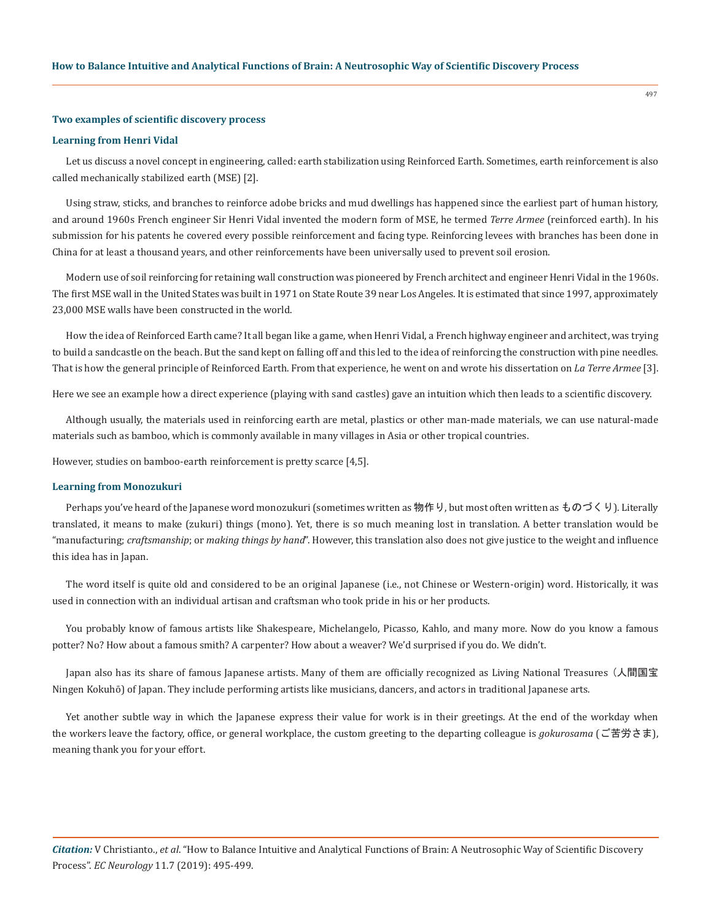#### **Two examples of scientific discovery process**

#### **Learning from Henri Vidal**

Let us discuss a novel concept in engineering, called: earth stabilization using Reinforced Earth. Sometimes, earth reinforcement is also called mechanically stabilized earth (MSE) [2].

Using straw, sticks, and branches to reinforce adobe bricks and mud dwellings has happened since the earliest part of human history, and around 1960s French engineer Sir Henri Vidal invented the modern form of MSE, he termed *Terre Armee* (reinforced earth). In his submission for his patents he covered every possible reinforcement and facing type. Reinforcing levees with branches has been done in China for at least a thousand years, and other reinforcements have been universally used to prevent soil erosion.

Modern use of soil reinforcing for retaining wall construction was pioneered by French architect and engineer Henri Vidal in the 1960s. The first MSE wall in the United States was built in 1971 on State Route 39 near Los Angeles. It is estimated that since 1997, approximately 23,000 MSE walls have been constructed in the world.

How the idea of Reinforced Earth came? It all began like a game, when Henri Vidal, a French highway engineer and architect, was trying to build a sandcastle on the beach. But the sand kept on falling off and this led to the idea of reinforcing the construction with pine needles. That is how the general principle of Reinforced Earth. From that experience, he went on and wrote his dissertation on *La Terre Armee* [3].

Here we see an example how a direct experience (playing with sand castles) gave an intuition which then leads to a scientific discovery.

Although usually, the materials used in reinforcing earth are metal, plastics or other man-made materials, we can use natural-made materials such as bamboo, which is commonly available in many villages in Asia or other tropical countries.

However, studies on bamboo-earth reinforcement is pretty scarce [4,5].

#### **Learning from Monozukuri**

Perhaps you've heard of the Japanese word monozukuri (sometimes written as 物作り, but most often written as ものづくり). Literally translated, it means to make (zukuri) things (mono). Yet, there is so much meaning lost in translation. A better translation would be "manufacturing; *craftsmanship*; or *making things by hand*". However, this translation also does not give justice to the weight and influence this idea has in Japan.

The word itself is quite old and considered to be an original Japanese (i.e., not Chinese or Western-origin) word. Historically, it was used in connection with an individual artisan and craftsman who took pride in his or her products.

You probably know of famous artists like Shakespeare, Michelangelo, Picasso, Kahlo, and many more. Now do you know a famous potter? No? How about a famous smith? A carpenter? How about a weaver? We'd surprised if you do. We didn't.

Japan also has its share of famous Japanese artists. Many of them are officially recognized as Living National Treasures (人間国宝 Ningen Kokuhō) of Japan. They include performing artists like musicians, dancers, and actors in traditional Japanese arts.

Yet another subtle way in which the Japanese express their value for work is in their greetings. At the end of the workday when the workers leave the factory, office, or general workplace, the custom greeting to the departing colleague is *gokurosama* (ご苦労さま), meaning thank you for your effort.

497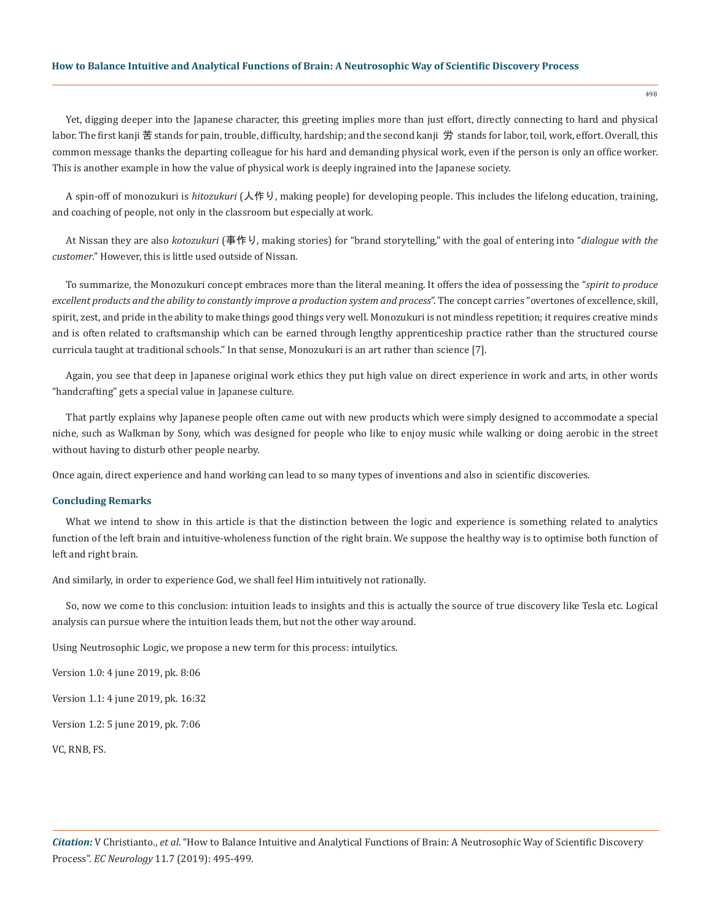#### **How to Balance Intuitive and Analytical Functions of Brain: A Neutrosophic Way of Scientific Discovery Process**

Yet, digging deeper into the Japanese character, this greeting implies more than just effort, directly connecting to hard and physical labor. The first kanji 苦 stands for pain, trouble, difficulty, hardship; and the second kanji 労 stands for labor, toil, work, effort. Overall, this common message thanks the departing colleague for his hard and demanding physical work, even if the person is only an office worker. This is another example in how the value of physical work is deeply ingrained into the Japanese society.

A spin-off of monozukuri is *hitozukuri* (人作り, making people) for developing people. This includes the lifelong education, training, and coaching of people, not only in the classroom but especially at work.

At Nissan they are also *kotozukuri* (事作り, making stories) for "brand storytelling," with the goal of entering into "*dialogue with the customer*." However, this is little used outside of Nissan.

To summarize, the Monozukuri concept embraces more than the literal meaning. It offers the idea of possessing the "*spirit to produce excellent products and the ability to constantly improve a production system and process*". The concept carries "overtones of excellence, skill, spirit, zest, and pride in the ability to make things good things very well. Monozukuri is not mindless repetition; it requires creative minds and is often related to craftsmanship which can be earned through lengthy apprenticeship practice rather than the structured course curricula taught at traditional schools." In that sense, Monozukuri is an art rather than science [7].

Again, you see that deep in Japanese original work ethics they put high value on direct experience in work and arts, in other words "handcrafting" gets a special value in Japanese culture.

That partly explains why Japanese people often came out with new products which were simply designed to accommodate a special niche, such as Walkman by Sony, which was designed for people who like to enjoy music while walking or doing aerobic in the street without having to disturb other people nearby.

Once again, direct experience and hand working can lead to so many types of inventions and also in scientific discoveries.

#### **Concluding Remarks**

What we intend to show in this article is that the distinction between the logic and experience is something related to analytics function of the left brain and intuitive-wholeness function of the right brain. We suppose the healthy way is to optimise both function of left and right brain.

And similarly, in order to experience God, we shall feel Him intuitively not rationally.

So, now we come to this conclusion: intuition leads to insights and this is actually the source of true discovery like Tesla etc. Logical analysis can pursue where the intuition leads them, but not the other way around.

Using Neutrosophic Logic, we propose a new term for this process: intuilytics.

Version 1.0: 4 june 2019, pk. 8:06

Version 1.1: 4 june 2019, pk. 16:32

Version 1.2: 5 june 2019, pk. 7:06

VC, RNB, FS.

498